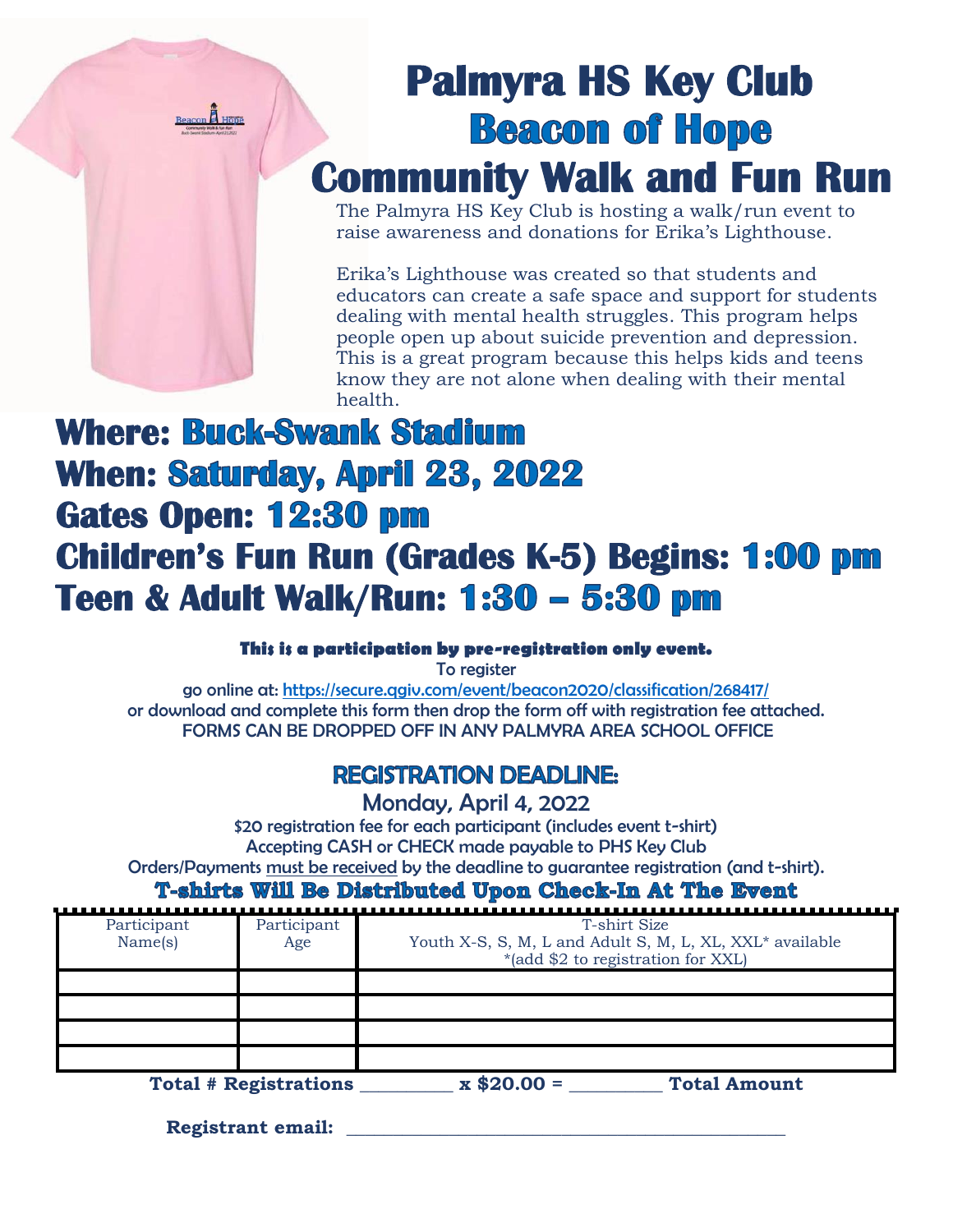

## **Palmyra HS Key Club Beacon of Hope Community Walk and Fun Run**

The Palmyra HS Key Club is hosting a walk/run event to raise awareness and donations for Erika's Lighthouse.

Erika's Lighthouse was created so that students and educators can create a safe space and support for students dealing with mental health struggles. This program helps people open up about suicide prevention and depression. This is a great program because this helps kids and teens know they are not alone when dealing with their mental health.

## **Where: Buck-Swank Stadium When: Saturday, April 23, 2022 Gates Open: Children's Fun Run (Grades K-5) Begins: Teen & Adult Walk/Run:**

## **This is a participation by pre-registration only event.**

To register

go online at: <https://secure.qgiv.com/event/beacon2020/classification/268417/> or download and complete this form then drop the form off with registration fee attached. FORMS CAN BE DROPPED OFF IN ANY PALMYRA AREA SCHOOL OFFICE

## **REGISTRATION DEADLINE:**

Monday, April 4, 2022

\$20 registration fee for each participant (includes event t-shirt) Accepting CASH or CHECK made payable to PHS Key Club Orders/Payments must be received by the deadline to guarantee registration (and t-shirt).

**T-shirts Will Be Distributed Upon Check-In At The Event** 

| Participant<br>Name(s)       | Participant<br>Age | T-shirt Size<br>Youth X-S, S, M, L and Adult S, M, L, XL, XXL* available<br>*(add \$2 to registration for XXL) |
|------------------------------|--------------------|----------------------------------------------------------------------------------------------------------------|
|                              |                    |                                                                                                                |
|                              |                    |                                                                                                                |
| <b>Total # Registrations</b> |                    | $\bm{x}$ \$20.00 =<br><b>Total Amount</b>                                                                      |

**Registrant email: \_\_\_\_\_\_\_\_\_\_\_\_\_\_\_\_\_\_\_\_\_\_\_\_\_\_\_\_\_\_\_\_\_\_\_\_\_\_\_\_\_\_\_\_\_\_\_**